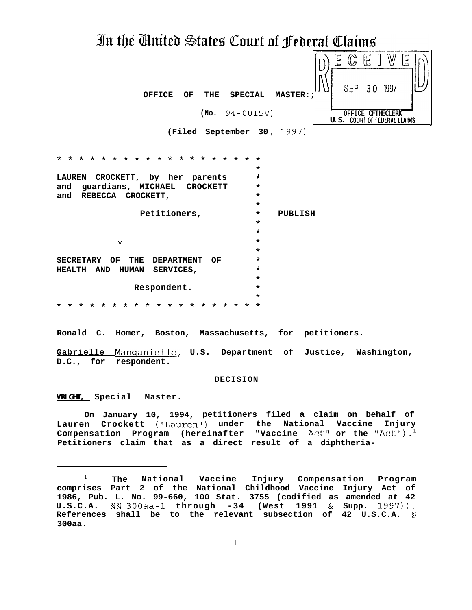# In the Anited States Court of Federal Claims

| <b>OFFICE</b><br>OF | THE | <b>SPECIAL</b>      | <b>MASTER:</b> |             | SEP 30 | Ë | Ŝ<br>۱V<br>1997                        |  |
|---------------------|-----|---------------------|----------------|-------------|--------|---|----------------------------------------|--|
|                     |     | (No. $94 - 0015V$ ) |                | <b>U.S.</b> | OFFICE |   | LERK<br><b>COURT OF FEDERAL CLAIMS</b> |  |

**(Filed September 30 ,** 1997)

| $+$ $+$<br>$\star$<br>$\star$<br>$\star$<br>$\star$<br>$\star$<br>÷<br>$\star$<br>$\star$<br>$\star$<br>$\star$<br>$\star$<br>$\star$<br>$\star$ | $\star$ |         |
|--------------------------------------------------------------------------------------------------------------------------------------------------|---------|---------|
|                                                                                                                                                  | $\star$ |         |
| CROCKETT, by her parents<br><b>LAUREN</b>                                                                                                        | $\star$ |         |
| guardians, MICHAEL<br><b>CROCKETT</b><br>and                                                                                                     | $\star$ |         |
| and REBECCA CROCKETT,                                                                                                                            | $\star$ |         |
|                                                                                                                                                  | $\star$ |         |
| Petitioners,                                                                                                                                     | $\star$ | PUBLISH |
|                                                                                                                                                  | $\star$ |         |
|                                                                                                                                                  | $\star$ |         |
| ν.                                                                                                                                               | $\star$ |         |
|                                                                                                                                                  | $\star$ |         |
| <b>SECRETARY</b><br>OF THE<br><b>DEPARTMENT</b><br>OF                                                                                            | $\star$ |         |
| HUMAN SERVICES,<br><b>HEALTH</b><br>AND                                                                                                          | $\star$ |         |
|                                                                                                                                                  | $\star$ |         |
| Respondent.                                                                                                                                      | $\star$ |         |
|                                                                                                                                                  | $\star$ |         |
| $\star$<br>* * *<br>* * *<br>$\star$ $\star$<br>$\star$<br>$\star$<br>$\star$<br>$\star$<br>$\star$<br>$\star$<br>$\star$<br>$\star$<br>$\star$  | $\star$ |         |

**Ronald C. Homer, Boston, Massachusetts, for petitioners.**

Gabrielle Manganiello, U.S. Department of Justice, Washington, **D.C., for respondent.**

#### **DECISION**

**WRIGHT, Special Master.**

**On January 10, 1994, petitioners filed a claim on behalf of Lauren Crockett ("Lauren") under the National Vaccine Injury** Compensation Program (hereinafter "Vaccine Act" or the "Act").<sup>1</sup> **Petitioners claim that as a direct result of a diphtheria-**

**<sup>l</sup> The National Vaccine Injury Compensation Program comprises Part 2 of the National Childhood Vaccine Injury Act of 1986, Pub. L. No. 99-660, 100 Stat. 3755 (codified as amended at 42 U.S.C.A. §§ 300aa-1 through -34 (West 1991 & Supp. 1997)). References shall be to the relevant subsection of 42 U.S.C.A. § 300aa.**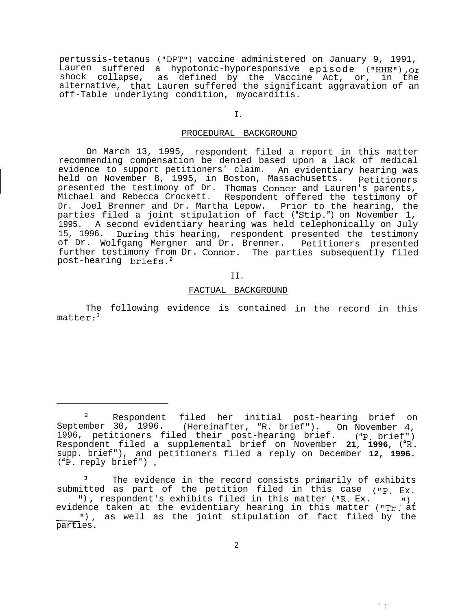pertussis-tetanus ("DPT1') vaccine administered on January 9, 1991, Lauren suffered a hypotonic-hyporesponsive episode ("HHE"), or shock collapse, alternative, as defined by the Vaccine Act, or, in the that Lauren suffered the significant aggravation of an off-Table underlying condition, myocarditis.

# I.

# PROCEDURAL BACKGROUND

On March 13, 1995, respondent filed a report in this matter recommending compensation be denied based upon a lack of medical evidence to support petitioners' claim. An evidentiary hearing was<br>held on November 8, 1995, in Boston, Massachusetts. petitioners held on November 8, 1995, in Boston, Massachusetts. presented the testimony of Dr. Thomas Connor and Lauren's parents, Michael and Rebecca Crockett. Respondent offered the testimony of Dr. Joel Brenner and Dr. Martha Lepow. Prior to the hearing, the parties filed a joint stipulation of fact ("Stip.") on November 1, 1995. A second evidentiary hearing was held telephonically on July 15, 1996. During this hearing, respondent presented the testimony of Dr. Wolfgang Mergner and Dr. Brenner. further testimony from Dr. Connor. The parties subsequently filed Petitioners presented post-hearing briefs.2

II.

#### FACTUAL BACKGROUND

The following evidence is contained in the record in this matter:<sup>3</sup>

2. 開

<sup>&</sup>lt;sup>2</sup> Respondent September 30, 1996. filed her initial post-hearing brief on (Hereinafter, "R. brief"). On November 4, 1996, petitioners filed their post-hearing brief. ("P. brief") Respondent filed a supplemental brief on November **21, 1996,** ("R. supp. brief"), and petitioners filed a reply on December **12, 1996.** ("P. reply brief") .

The evidence in the record consists primarily of exhibits submitted as part of the petition filed in this case  $("P. EX.$ II 1, The evidence in the record consists primarily of exhibits<br>submitted as part of the petition filed in this case ("P. Ex.<br>"), respondent's exhibits filed in this matter ("R. Ex. "),<br>evidence taken at the evidentiary he evid<br>parti "), as well as the joint stipulation of fact filed by the parties.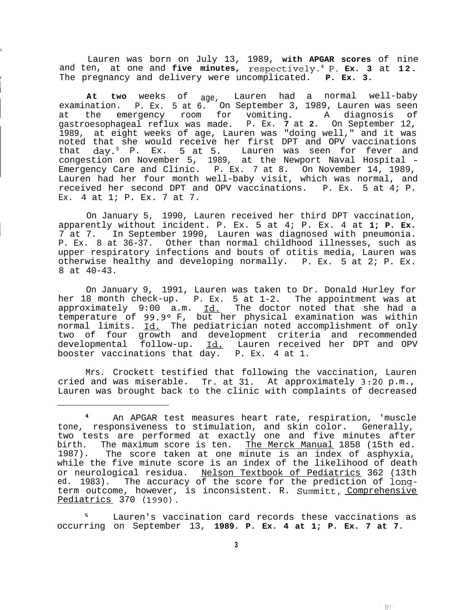Lauren was born on July 13, 1989, **with APGAR scores** of nine and ten, at one and **five minutes, respectively\_4 P. Ex. 3** at **12. <sup>I</sup>** The pregnancy and delivery were uncomplicated. **P. Ex. 3.**

**1**

**At two** weeks of age, Lauren had a normal well-baby examination. P. Ex. 5 at 6. On September 3, 1989, Lauren was seen at the emergency room for vomiting. A diagnosis of gastroesophageal reflux was made. P. Ex. **7** at **2.** On September 12, 1989, at eight weeks of age, Lauren was "doing well," and it was noted that she would receive her first DPT and OPV vaccinations that day.<sup>5</sup> P. Ex. 5 at 5. Lauren was seen for fever and congestion on November 5, 1989, at the Newport Naval Hospital - Emergency Care and Clinic. P. Ex. 7 at 8. On November 14, 1989, Lauren had her four month well-baby visit, which was normal, and received her second DPT and OPV vaccinations. P. Ex. 5 at 4; P. Ex. 4 at 1; P. Ex. 7 at 7.

On January 5, 1990, Lauren received her third DPT vaccination, <sup>1</sup> apparently without incident. P. Ex. 5 at 4; P. Ex. 4 at **1; P. Ex.** 7 at 7. In September 1990, Lauren was diagnosed with pneumonia. P. Ex. 8 at 36-37. Other than normal childhood illnesses, such as upper respiratory infections and bouts of otitis media, Lauren was otherwise healthy and developing normally. P. Ex. 5 at 2; P. Ex. 8 at 40-43.

On January 9, 1991, Lauren was taken to Dr. Donald Hurley for her 18 month check-up. P. Ex. 5 at 1-2. The appointment was at approximately 9:00 a.m. Id. The doctor noted that she had a approximately  $9.00$  a.m. <u>Id.</u> The doctor hoted that she had a<br>temperature of  $99.9^{\circ}$  F, but her physical examination was within<br>normal limits. <u>Id.</u> The pediatrician noted accomplishment of only<br>two of four growth an two of four growth and development criteria and recommended developmental follow-up. Id. Lauren received her DPT and OPV booster vaccinations that day. P. Ex. 4 at 1.

Mrs. Crockett testified that following the vaccination, Lauren cried and was miserable. Tr. at 31. At approximately 3:20 p.m., Lauren was brought back to the clinic with complaints of decreased

Lauren's vaccination card records these vaccinations as occurring on September 13, **1989. P. Ex. 4 at 1; P. Ex. 7 at 7.**

一眼!"

An APGAR test measures heart rate, respiration, 'muscle tone, responsiveness to stimulation, and skin color. Generally, two tests are performed at exactly one and five minutes after birth. The maximum score is ten. The Merck Manual 1858 (15th ed. 1987). The score taken at one minute is an index of asphyxia, while the five minute score is an index of the likelihood of death or neurological residua. Nelson Textbook of Pediatrics 362 (13th ed. 1983). The accuracy of the score for the prediction of longterm outcome, however, is inconsistent. R. Summitt, Comprehensive Pediatrics 370 (1990).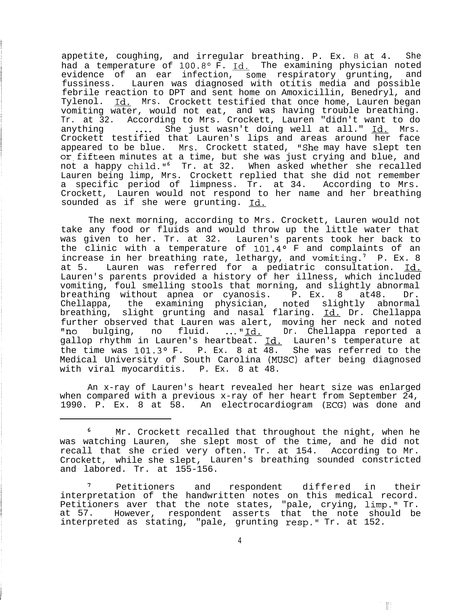appetite, coughing, and irregular breathing. P. Ex. 8 at 4. She had a temperature of 100.8° F. Id. The examining physician noted evidence of an ear infection, some respiratory grunting, and fussiness. Lauren was diagnosed with otitis media and possible febrile reaction to DPT and sent home on Amoxicillin, Benedryl, and Tylenol. Id. Mrs. Crockett testified that once home, Lauren began vomiting water, would not eat, and was having trouble breathing. Tr. at 32. According to Mrs. Crockett, Lauren "didn't want to do anything .... She just wasn't doing well at all." Id. Mrs. Crockett testified that Lauren's lips and areas around her face appeared to be blue. Mrs. Crockett stated, "She may have slept ten or,fifteen minutes at a time, but she was just crying and blue, and not a happy child."<sup>6</sup> Tr. at 32. When asked whether she recalled Lauren being limp, Mrs. Crockett replied that she did not remember a specific period of limpness. Tr. at 34. According to Mrs. Crockett, Lauren would not respond to her name and her breathing sounded as if she were grunting. Id,

The next morning, according to Mrs. Crockett, Lauren would not take any food or fluids and would throw up the little water that was given to her. Tr. at 32. Lauren's parents took her back to the clinic with a temperature of  $101.4^\circ$  F and complaints of an increase in her breathing rate, lethargy, and vomiting.<sup>7</sup> P. Ex. 8 at 5. Lauren was referred for a pediatric consultation. Id. Lauren's parents provided a history of her illness, which included vomiting, foul smelling stools that morning, and slightly abnormal breathing without apnea or cyanosis. P. Ex. 8 at48. Dr. Chellappa, the examining physician, noted slightly abnormal breathing, slight grunting and nasal flaring. Id. Dr. Chellappa further observed that Lauren was alert, moving her neck and noted "no bulging, no fluid. ..."<u>Id.</u> Dr. Chellappa reported a gallop rhythm in Lauren's heartbeat. Id. Lauren's temperature at the time was  $101.3^{\circ}$  F. P. Ex. 8 at 48. She was referred to the Medical University of South Carolina (MUSC) after being diagnosed with viral myocarditis. P. Ex. 8 at 48.

An x-ray of Lauren's heart revealed her heart size was enlarged when compared with a previous x-ray of her heart from September 24, 1990. P. Ex. 8 at 58. An electrocardiogram (ECG) was done and

 $\begin{bmatrix} 0 \\ 1 \end{bmatrix}$ 

<sup>&</sup>lt;sup>6</sup> Mr. Crockett recalled that throughout the night, when he was watching Lauren, she slept most of the time, and he did not recall that she cried very often. Tr. at 154. According to Mr. Crockett, while she slept, Lauren's breathing sounded constricted and labored. Tr. at 155-156.

Petitioners and respondent differed in their interpretation of the handwritten notes on this medical record. Petitioners aver that the note states, "pale, crying, limp." Tr. at 57. However, respondent asserts that the note should be interpreted as stating, "pale, grunting resp." Tr. at 152.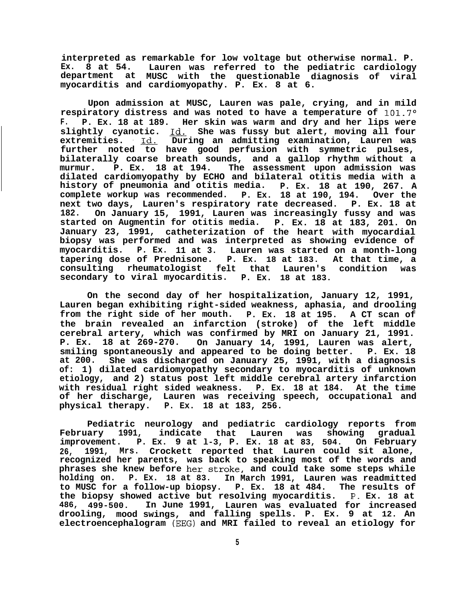**interpreted as remarkable for low voltage but otherwise normal. P. Ex. 8 at 54. Lauren was referred to the pediatric cardiology department at MUSC with the questionable diagnosis of viral myocarditis and cardiomyopathy. P. Ex. 8 at 6.**

**Upon admission at MUSC, Lauren was pale, crying, and in mild respiratory distress and was noted to have a temperature of lOl.7O F. P. Ex. 18 at 189. Her skin was warm and dry and her lips were slightly cyanotic.** Id. **She was fussy but alert, moving all four extremities. -Id. During an admitting examination, Lauren was further noted to have good perfusion with symmetric pulses, bilaterally coarse breath sounds, and a gallop rhythm without a murmur. P. Ex. 18 at 194. The assessment upon admission was dilated cardiomyopathy by ECHO and bilateral otitis media with a history of pneumonia and otitis media. P. Ex. 18 at 190, 267. A** complete workup was recommended. P. Ex. 18 at 190, 194. **next two days, Lauren's respiratory rate decreased. P. Ex. 18 at 182. On January 15, 1991, Lauren was increasingly fussy and was** started on Augmentin for otitis media. **January 23, 1991, catheterization of the heart with myocardial biopsy was performed and was interpreted as showing evidence of myocarditis. P. Ex. 11 at 3. Lauren was started on a month-long tapering dose of Prednisone. P. Ex. 18 at 183. At that time, a consulting rheumatologist felt that Lauren's condition was secondary to viral myocarditis. P. Ex. 18 at 183.**

**On the second day of her hospitalization, January 12, 1991, Lauren began exhibiting right-sided weakness, aphasia, and drooling from the right side of her mouth. P. Ex. 18 at 195. A CT scan of the brain revealed an infarction (stroke) of the left middle cerebral artery, which was confirmed by MRI on January 21, 1991. P. Ex. 18 at 269-270. On January 14, 1991, Lauren was alert, smiling spontaneously and appeared to be doing better. P. Ex. 18 at 200. She was discharged on January 25, 1991, with a diagnosis of: 1) dilated cardiomyopathy secondary to myocarditis of unknown etiology, and 2) status post left middle cerebral artery infarction with residual right sided weakness. P. Ex. 18 at 184. At the time of her discharge, Lauren was receiving speech, occupational and physical therapy. P. Ex. 18 at 183, 256.**

**Pediatric neurology and pediatric cardiology reports from February 1991, indicate that Lauren was showing gradual improvement. P. Ex. 9 at l-3, P. Ex. 18 at 83, 504. On February 26, 1991, Mrs. Crockett reported that Lauren could sit alone, recognized her parents, was back to speaking most of the words and phrases she knew before her.stroke, and could take some steps while holding on. P. Ex. 18 at 83. In March 1991, Lauren was readmitted to MUSC for a follow-up biopsy. P. Ex. 18 at 484. The results of the biopsy showed active but resolving myocarditis. P. Ex. 18 at 486, 499-500. In June 1991, Lauren was evaluated for increased drooling, mood swings, and falling spells. P. Ex. 9 at 12. An electroencephalogram (EEG) and MRI failed to reveal an etiology for**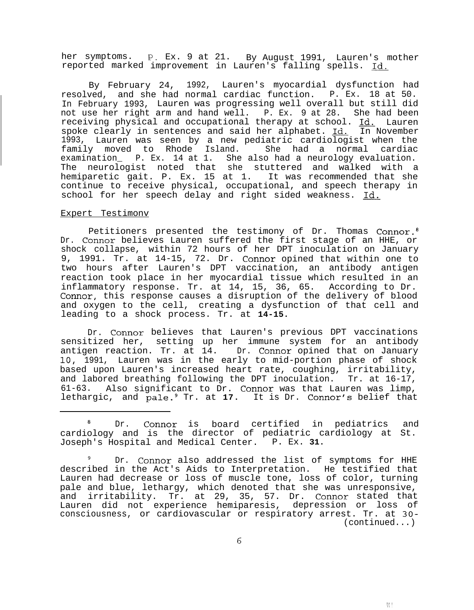her symptoms. P. Ex. 9 at 21. By August 1991, Lauren's mother reported marked improvement in Lauren's falling spells. Id.

By February 24, 1992, Lauren's myocardial dysfunction had resolved, and she had normal cardiac function. P. Ex. 18 at 50. In February 1993, Lauren was progressing well overall but still did not use her right arm and hand well. P. Ex. 9 at 28. She had been receiving physical and occupational therapy at school. Id. Lauren spoke clearly in sentences and said her alphabet. Id. In November 1993, Lauren was seen by a new pediatric cardiologist when the family moved to Rhode Island. examination\_ P. Ex. 14 at 1. She also had a neurology evaluation. The neurologist noted that she stuttered and walked with a hemiparetic gait. P. Ex. 15 at 1. It was recommended that she continue to receive physical, occupational, and speech therapy in school for her speech delay and right sided weakness. Id.

# Expert Testimonv

Petitioners presented the testimony of Dr. Thomas Connor. Dr. Connor believes Lauren suffered the first stage of an HHE, or shock collapse, within 72 hours of her DPT inoculation on January 9, 1991. Tr. at 14-15, 72. Dr. Connor opined that within one to two hours after Lauren's DPT vaccination, an antibody antigen reaction took place in her myocardial tissue which resulted in an inflammatory response. Tr. at 14, 15, 36, 65. According to Dr. Connor, this response causes a disruption of the delivery of blood and oxygen to the cell, creating a dysfunction of that cell and leading to a shock process. Tr. at **14-15.**

Dr. Connor believes that Lauren's previous DPT vaccinations sensitized her, setting up her immune system for an antibody antigen reaction. Tr. at 14. Dr. Connor opined that on January 10, 1991, Lauren was in the early to mid-portion phase of shock based upon Lauren's increased heart rate, coughing, irritability, and labored breathing following the DPT inoculation. Tr. at 16-17, 61-63. Also significant to Dr. Connor was that Lauren was limp, lethargic, and pale.<sup>9</sup> Tr. at 17. It is Dr. Connor's belief that

<sup>8</sup> Dr. Connor is board certified in pediatrics and cardiology and is the director of pediatric cardiology at St. Joseph's Hospital and Medical Center. P. Ex. **31.**

Dr. Connor also addressed the list of symptoms for HHE described in the Act's Aids to Interpretation. He testified that Lauren had decrease or loss of muscle tone, loss of color, turning pale and blue, lethargy, which denoted that she was unresponsive, and irritability. Tr. at 29, 35, 57. Dr. Connor stated that Lauren did not experience hemiparesis, depression or loss of consciousness, or cardiovascular or respiratory arrest. Tr. at 30- (continued...)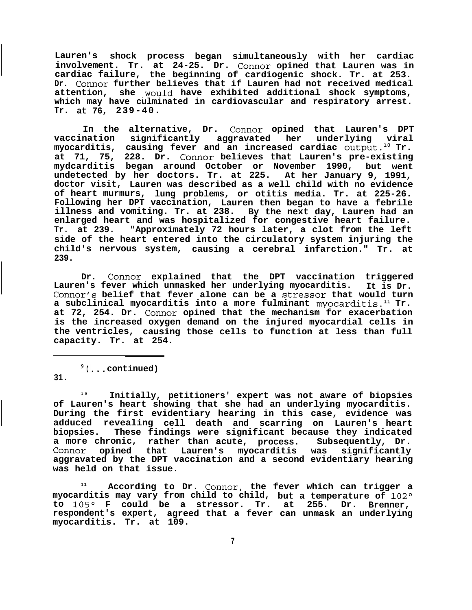**Lauren's shock process began simultaneously with her cardiac involvement. Tr. at 24-25. Dr. Connor opined that Lauren was in cardiac failure, the beginning of cardiogenic shock. Tr. at 253. Dr. Connor further believes that if Lauren had not received medical** attention, she would have exhibited additional shock symptoms, **which may have culminated in cardiovascular and respiratory arrest. Tr. at 76, 239-40.**

**In the alternative, Dr. Connor opined that Lauren's DPT vaccination significantly aggravated her underlying viral myocarditis, causing fever and an increased cardiac 0utput.l' Tr. at 71, 75, 228. Dr. Connor believes that Lauren's pre-existing mydcarditis began around October or November 1990, but went undetected by her doctors. Tr. at 225. At her January 9, 1991, doctor visit, Lauren was described as a well child with no evidence of heart murmurs, lung problems, or otitis media. Tr. at 225-26. Following her DPT vaccination, Lauren then began to have a febrile illness and vomiting. Tr. at 238. By the next day, Lauren had an enlarged heart and was hospitalized for congestive heart failure. Tr. at 239. "Approximately 72 hours later, a clot from the left side of the heart entered into the circulatory system injuring the child's nervous system, causing a cerebral infarction." Tr. at 239.**

**Dr. Connor explained that the DPT vaccination triggered** Lauren's fever which unmasked her underlying myocarditis. **Connor's belief that fever alone can be a stressor that would turn** a subclinical myocarditis into a more fulminant myocarditis.<sup>11</sup> Tr. **at 72, 254. Dr. Connor opined that the mechanism for exacerbation is the increased oxygen demand on the injured myocardial cells in the ventricles, causing those cells to function at less than full capacity. Tr. at 254.**

g(. . . **continued) 31.**

**1 0 Initially, petitioners' expert was not aware of biopsies of Lauren's heart showing that she had an underlying myocarditis. During the first evidentiary hearing in this case, evidence was adduced revealing cell death and scarring on Lauren's heart biopsies. These findings were significant because they indicated a more chronic, rather than acute, process. Subsequently, Dr. Connor opined that Lauren's myocarditis was significantly aggravated by the DPT vaccination and a second evidentiary hearing was held on that issue.**

**<sup>11</sup> According to Dr. Connor, the fever which can trigger a** myocarditis may vary from child to child, but a temperature of 102° **to 1050 F could be a stressor. Tr. at 255. Dr. Brenner, respondent's expert, agreed that a fever can unmask an underlying myocarditis. Tr. at 109.**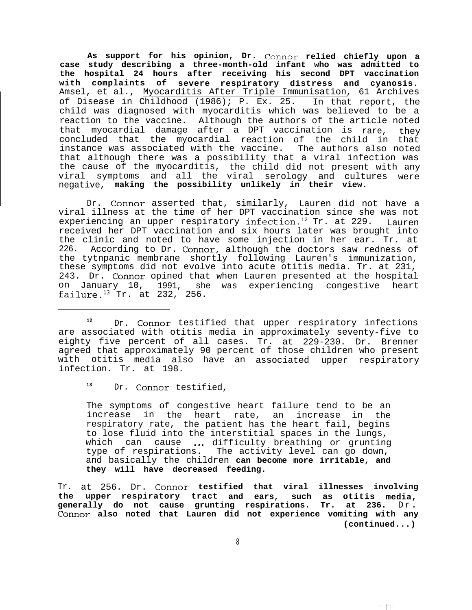**As support for his opinion, Dr. Connor relied chiefly upon a case study describing a three-month-old infant who was admitted to the hospital 24 hours after receiving his second DPT vaccination with complaints of severe respiratory distress and cyanosis.** Amsel, et al., Myocarditis After Triple Immunisation, 61 Archives of Disease in Childhood (1986); P. Ex. 25. In that report, the child was diagnosed with myocarditis which was believed to be a reaction to the vaccine. Although the authors of the article noted that myocardial damage after a DPT vaccination is rare, they concluded that the myocardial reaction of the child in that instance was associated with the vaccine. The authors also noted that although there was a possibility that a viral infection was the cause of the myocarditis, the child did not present with any viral symptoms and all the viral serology and cultures were negative, **making the possibility unlikely in their view.**

Dr. Connor asserted that, similarly, Lauren did not have a viral illness at the time of her DPT vaccination since she was not experiencing an upper respiratory infection.<sup>12</sup> Tr. at 229. Lauren received her DPT vaccination and six hours later was brought into the clinic and noted to have some injection in her ear. Tr. at 226. According to Dr. Connor, although the doctors saw redness of the tytnpanic membrane shortly following Lauren's immunization, these symptoms did not evolve into acute otitis media. Tr. at 231, 243. Dr. Connor opined that when Lauren presented at the hospital on January 10, 1991, she was experiencing congestive heart failure. $13$  Tr. at 232, 256.

<sup>12</sup> Dr. Connor testified that upper respiratory infections are associated with otitis media in approximately seventy-five to eighty five percent of all cases. Tr. at 229-230. Dr. Brenner agreed that approximately 90 percent of those children who present with otitis media also have an associated upper respiratory infection. Tr. at 198.

**<sup>13</sup>** Dr. Connor testified,

The symptoms of congestive heart failure tend to be an increase in the heart rate, an increase in the respiratory rate, the patient has the heart fail, begins to lose fluid into the interstitial spaces in the lungs, which can cause ... difficulty breathing or grunting type of respirations. The activity level can go down, and basically the children **can become more irritable, and they will have decreased feeding.**

Tr. at 256. Dr. **Connor testified that viral illnesses involving the upper respiratory tract and ears, such as otitis media, generally do not cause grunting respirations. Tr. at 236.** Dr. **Connor also noted that Lauren did not experience vomiting with any (continued...)**

世!"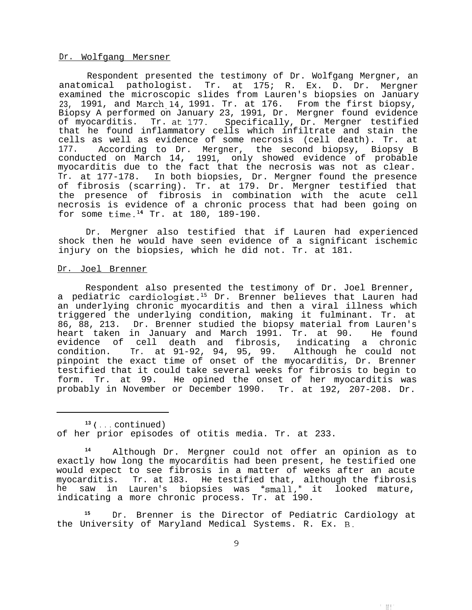## Dr. Wolfgang Mersner

Respondent presented the testimony of Dr. Wolfgang Mergner, an anatomical pathologist. Tr. at 175; R. Ex. D. Dr. Mergner examined the microscopic slides from Lauren's biopsies on January 23, 1991, and March.14, 1991. Tr. at 176. From the first biopsy, Biopsy A performed on January 23, 1991, Dr. Mergner found evidence of myocarditis. Tr. at'177. Specifically, Dr. Mergner testified that he found inflammatory cells which infiltrate and stain the cells as well as evidence of some necrosis (cell death). Tr. at 177. According to Dr. Mergner, the second biopsy, Biopsy B conducted on March 14, 1991, only showed evidence of probable myocarditis due to the fact that the necrosis was not as clear. Tr. at 177-178. In both biopsies, Dr. Mergner found the presence of fibrosis (scarring). Tr. at 179. Dr. Mergner testified that the presence of fibrosis in combination with the acute cell necrosis is evidence of a chronic process that had been going on for some time.<sup>14</sup> Tr. at 180, 189-190.

Dr. Mergner also testified that if Lauren had experienced shock then he would have seen evidence of a significant ischemic injury on the biopsies, which he did not. Tr. at 181.

#### Dr. Joel Brenner

Respondent also presented the testimony of Dr. Joel Brenner, a pediatric cardiologist.<sup>15</sup> Dr. Brenner believes that Lauren had an underlying chronic myocarditis and then a viral illness which triggered the underlying condition, making it fulminant. Tr. at 86, 88, 213. Dr. Brenner studied the biopsy material from Lauren's heart taken in January and March 1991. Tr. at 90. He found evidence of cell death and fibrosis, indicating a chronic<br>condition. Tr. at 91-92, 94, 95, 99. Although he could not Tr. at 91-92, 94, 95, 99. Although he could not pinpoint the exact time of onset of the myocarditis, Dr. Brenner testified that it could take several weeks for fibrosis to begin to form. Tr. at 99. He opined the onset of her myocarditis was probably in November or December 1990. Tr. at 192, 207-208. Dr.

**13 ( . . .** continued) of her prior episodes of otitis media. Tr. at 233.

**<sup>14</sup>** Although Dr. Mergner could not offer an opinion as to exactly how long the myocarditis had been present, he testified one would expect to see fibrosis in a matter of weeks after an acute myocarditis. Tr. at 183. He testified that, although the fibrosis he saw in Lauren's biopsies was 'small,' it looked mature, indicating a more chronic process. Tr. at 190.

**<sup>15</sup>** Dr. Brenner is the Director of Pediatric Cardiology at the University of Maryland Medical Systems. R. Ex. B.

大理区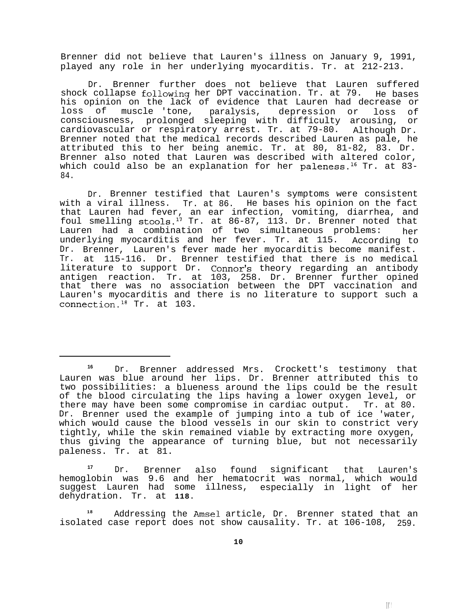Brenner did not believe that Lauren's illness on January 9, 1991, played any role in her underlying myocarditis. Tr. at 212-213.

Dr. Brenner further does not believe that Lauren suffered shock collapse following her DPT vaccination. Tr. at 79. He bases his opinion on the lack of evidence that Lauren had decrease or loss of muscle 'tone, paralysis, depression or loss of consciousness, prolonged sleeping with difficulty arousing, or cardiovascular or respiratory arrest. Tr. at 79-80. Although Dr. Brenner noted that the medical records described Lauren as pale, he attributed this to her being anemic. Tr. at 80, 81-82, 83. Dr. Brenner also noted that Lauren was described with altered color, which could also be an explanation for her paleness.<sup>16</sup> Tr. at 83-84.

Dr. Brenner testified that Lauren's symptoms were consistent with a viral illness. Tr. at 86. He bases his opinion on the fact that Lauren had fever, an ear infection, vomiting, diarrhea, and foul smelling stools.<sup>17</sup> Tr. at 86-87, 113. Dr. Brenner noted that Lauren had a combination of two simultaneous problems: her underlying myocarditis and her fever. Tr. at 115. Dr. Brenner, Lauren's fever made her myocarditis become manifest. According to Tr. at 115-116. Dr. Brenner testified that there is no medical literature to support Dr. Connor's theory regarding an antibody antigen reaction. Tr. at 103, 258. Dr. Brenner further opined that there was no association between the DPT vaccination and Lauren's myocarditis and there is no literature to support such a connection.18 Tr. at 103.

**<sup>17</sup>** Dr. Brenner also found significant that Lauren's hemoglobin was 9.6 and her hematocrit was normal, which would suggest Lauren had some illness, dehydration. Tr. at **118.** especially in light of her

**<sup>18</sup>** Addressing the Amsel article, Dr. Brenner stated that an isolated case report does not show causality. Tr. at 106-108, 259.

**<sup>16</sup>** Dr. Brenner addressed Mrs. Crockett's testimony that Lauren was blue around her lips. Dr. Brenner attributed this to two possibilities: a blueness around the lips could be the result of the blood circulating the lips having a lower oxygen level, or there may have been some compromise in cardiac output. Tr. at 80. Dr. Brenner used the example of jumping into a tub of ice 'water, which would cause the blood vessels in our skin to constrict very tightly, while the skin remained viable by extracting more oxygen, thus giving the appearance of turning blue, but not necessarily paleness. Tr. at 81.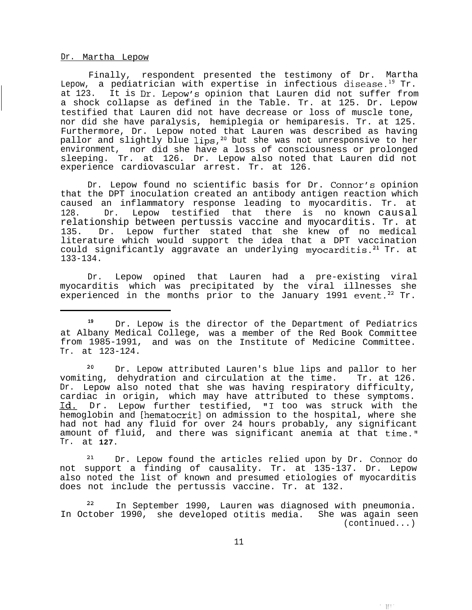#### Dr. Martha Lepow

Finally, respondent presented the testimony of Dr. Martha Lepow, a pediatrician with expertise in infectious disease.<sup>19</sup> Tr. at 123. It is Dr. Lepow's opinion that Lauren did not suffer from a shock collapse as defined in the Table. Tr. at 125. Dr. Lepow testified that Lauren did not have decrease or loss of muscle tone, nor did she have paralysis, hemiplegia or hemiparesis. Tr. at 125. Furthermore, Dr. Lepow noted that Lauren was described as having pallor and slightly blue lips,<sup>20</sup> but she was not unresponsive to her environment, nor did she have a loss of consciousness or prolonged sleeping. Tr. at 126. Dr. Lepow also noted that Lauren did not experience cardiovascular arrest. Tr. at 126.

Dr. Lepow found no scientific basis for Dr. Connor's opinion that the DPT inoculation created an antibody antigen reaction which caused an inflammatory response leading to myocarditis. Tr. at 128. Dr. Lepow testified that there is no known causal relationship between pertussis vaccine and myocarditis. Tr. at 135. Dr. Lepow further stated that she knew of no medical literature which would support the idea that a DPT vaccination could significantly aggravate an underlying myocarditis.<sup>21</sup> Tr. at 133-134.

Dr. Lepow opined that Lauren had a pre-existing viral myocarditis which was precipitated by the viral illnesses she experienced in the months prior to the January 1991 event.<sup>22</sup> Tr.

<sup>20</sup> Dr. Lepow attributed Lauren's blue lips and pallor to her vomiting, dehydration and circulation at the time. Tr. at 126. Dr. Lepow also noted that she was having respiratory difficulty, cardiac in origin, which may have attributed to these symptoms. Id. Dr. Lepow further testified, "1 too was struck with the hemoglobin and [hematocritl on admission to the hospital, where she had not had any fluid for over 24 hours probably, any significant amount of fluid, and there was significant anemia at that time." Tr. at **127.**

<sup>21</sup> Dr. Lepow found the articles relied upon by Dr. Connor do not support a finding of causality. Tr. at 135-137. Dr. Lepow also noted the list of known and presumed etiologies of myocarditis does not include the pertussis vaccine. Tr. at 132.

In September 1990, Lauren was diagnosed with pneumonia. In October 1990, she developed otitis media. She was again seen (continued...)

"一眼!"。

**<sup>19</sup>** Dr. Lepow is the director of the Department of Pediatrics at Albany Medical College, was a member of the Red Book Committee from 1985-1991, and was on the Institute of Medicine Committee. Tr. at 123-124.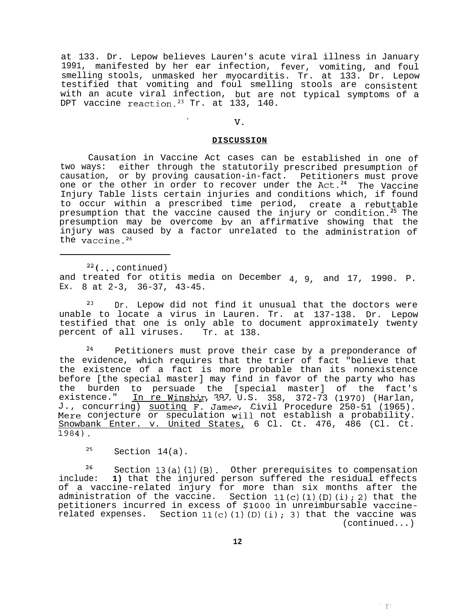at 133. Dr. Lepow believes Lauren's acute viral illness in January 1991, manifested by her ear infection, fever, vomiting, and foul smelling stools, unmasked her myocarditis. Tr. at 133. Dr. Lepow testified that vomiting and foul smelling stools are consistent with an acute viral infection, but are not typical symptoms of a DPT vaccine reaction.<sup>23</sup> Tr. at 133, 140.

#### , **V.**

## **DISCUSSION**

Causation in Vaccine Act cases can be established in one of two ways: either through the statutorily prescribed presumption of causation, or by proving causation-in-fact. Petitioners must prove one or the other in order to recover under the Act.<sup>24</sup> The Vaccine Injury Table lists certain injuries and conditions which, if found to occur within a prescribed time period, create a rebuttable presumption that the vaccine caused the injury or condition.<sup>25</sup> The presumption may be overcome bv an affirmative showing that the injury was caused by a factor unrelated to the administration of the vaccine.<sup>26</sup>

 $22$  (... continued) and treated for otitis media on December 4, 9, and 17, 1990. P. Ex. 8 at 2-3, 36-37, 43-45.

 $23$  Dr. Lepow did not find it unusual that the doctors were unable to locate a virus in Lauren. Tr. at 137-138. Dr. Lepow testified that one is only able to document approximately twenty percent of all viruses. Tr. at 138.

<sup>24</sup> Petitioners must prove their case by a preponderance of the evidence, which requires that the trier of fact "believe that the existence of a fact is more probable than its nonexistence before [the special master] may find in favor of the party who has the burden to persuade the [special master] of the fact's existence." In re Winship, 397, U.S. concurring) suoting F. James 358, 372-73 (1970) (Harlan, J., concurring) <u>suotinq</u> F. James, Civil Procedure 250-51 (1965). Mere conjecture or speculation will not establish a probability. Snowbank Enter. v. United States, 6 Cl. Ct. 476, 486 (Cl. Ct. 1984).

 $25$  Section 14(a).

 $2^6$  Section 13(a)(1)(B). Other prerequisites to compensation include: **1)** that the injured person suffered the residual effects of a vaccine-related injury for more than six months after the administration of the vaccine. Section 11(c) **(1) (D)** (i); **2)** that the petitioners incurred in excess of \$lCOO in unreimbursable vaccinerelated expenses. Section 11(c) **(1)** (D) (i); 3) that the vaccine was (continued...)

**12**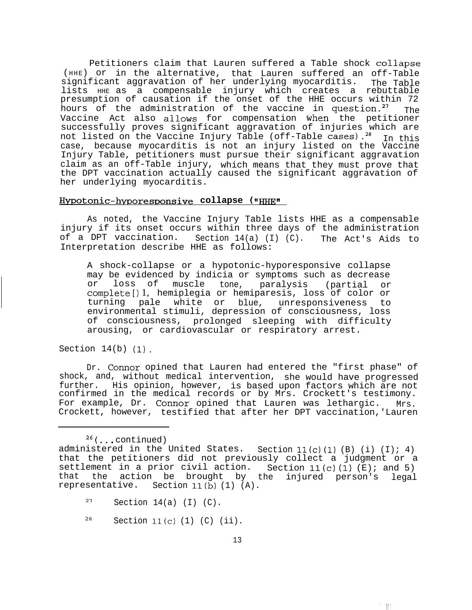Petitioners claim that Lauren suffered a Table shock collapse (HHE) or in the alternative, that Lauren suffered an off-Table significant aggravation of her underlying myocarditis. The Table lists HHE as a compensable injury which creates a rebuttable presumption of causation if the onset of the HHE occurs within 72 hours of the administration of the vaccine in question.<sup>27</sup>  $_{\text{Tha}}$ Vaccine Act also allows for compensation when the petitioner successfully proves significant aggravation of injuries which are not listed on the Vaccine Injury Table (off-Table cases).<sup>28</sup> In this case, because myocarditis is not an injury listed on the Vaccine Injury Table, petitioners must pursue their significant aggravation claim as an off-Table injury, which means that they must prove that the DPT vaccination actually caused the significant aggravation of her underlying myocarditis.

# Hvpotonic-hvporesoonsive **collapse** ( ,I\_II

As noted, the Vaccine Injury Table lists HHE as a compensable injury if its onset occurs within three days of the administration of a DPT vaccination. Section 14(a) (I) (C). The Act's Aids to Interpretation describe HHE as follows:

A shock-collapse or a hypotonic-hyporesponsive collapse may be evidenced by indicia or symptoms such as decrease or loss of muscle tone, paralysis (partial or completel) 1, hemiplegia or hemiparesis, loss of color or turning pale white or blue, unresponsiveness to environmental stimuli, depression of consciousness, loss of consciousness, arousing, or cardiovascular or respiratory arrest. prolonged sleeping with difficulty

Section  $14(b)$   $(1)$ .

Dr. Connor opined that Lauren had entered the "first phase" of shock, and, without medical intervention, she would have progressed further. His opinion, however, is based upon factors which are not confirmed in the medical records or by Mrs. Crockett's testimony. For example, Dr. Connor opined that Lauren was lethargic. Mrs. Crockett, however, testified that after her DPT vaccination,'Lauren

 $26$  (... continued)

- $27$  Section 14(a) (I) (C).
- $28$  Section 11(c) (1) (C) (ii).

administered in the United States. Section **11(c) (1)** (B) (i) (I); 4) that the petitioners did not previously collect a judgment or a settlement in a prior civil action. Section **11(c) (1)** (E); and 5) that the action be brought by the injured person's representative. Section 11(b) (1) (A). legal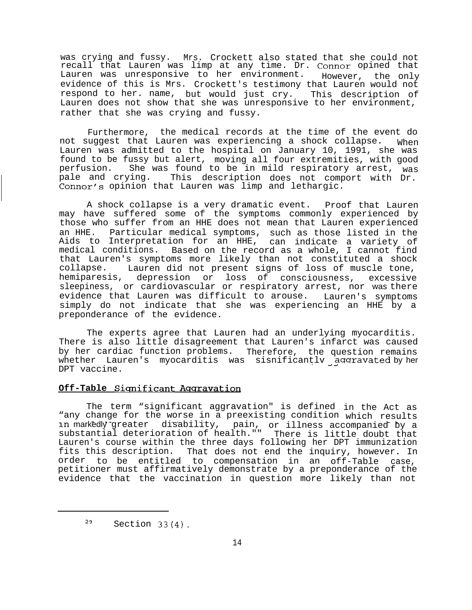was crying and fussy. Mrs. Crockett also stated that she could not recall that Lauren was limp at any time. Dr. Connor opined that Lauren was unresponsive to her environment. evidence of this is Mrs. Crockett's testimony that Lauren would not However, the only respond to her. name, but would just cry. This description of Lauren does not show that she was unresponsive to her environment, rather that she was crying and fussy.

Furthermore, the medical records at the time of the event do not suggest that Lauren was experiencing a shock collapse. When Lauren was admitted to the hospital on January 10, 1991, she was found to be fussy but alert, moving all four extremities, with good perfusion. She was found to be in mild respiratory arrest, was pale and crying. This description does not comport with Dr. Connor's opinion that Lauren was limp and lethargic.

A shock collapse is a very dramatic event. Proof that Lauren may have suffered some of the symptoms commonly experienced by those who suffer from an HHE does not mean that Lauren experienced an HHE. Particular medical symptoms, such as those listed in the Aids to Interpretation for an HHE, can indicate a variety of medical conditions. Based on the record as a whole, I cannot find that Lauren's symptoms more likely than not constituted a shock collapse. hemiparesis, Lauren did not present signs of loss of muscle tone, depression or loss of consciousness, excessive sleepiness, or cardiovascular or respiratory arrest, nor was there evidence that Lauren was difficult to arouse. Lauren's symptoms simply do not indicate that she was experiencing an HHE by a preponderance of the evidence.

The experts agree that Lauren had an underlying myocarditis. There is also little disagreement that Lauren's infarct was caused by her cardiac function problems. Therefore, the question remains whether Lauren's myocarditis was sisnificantly  $\bar{a}$  gaaravated by her DPT vaccine.

# **Off-Table Significant Aggravation**

The term "significant aggravation" is defined in the Act as "any change for the worse in a preexisting condition "any change for the worse in a preexisting condition which results<br>in markedly greater disability, pain, or illness accompanied by a substantial deterioration of health."" or illness accompanied by a There is little doubt that Lauren's course within the three days following her DPT immunization fits this description. That does not end the inquiry, however. In order to be entitled to compensation in an off-Table case, petitioner must affirmatively demonstrate by a preponderance of the evidence that the vaccination in question more likely than not

 $29$  Section 33(4).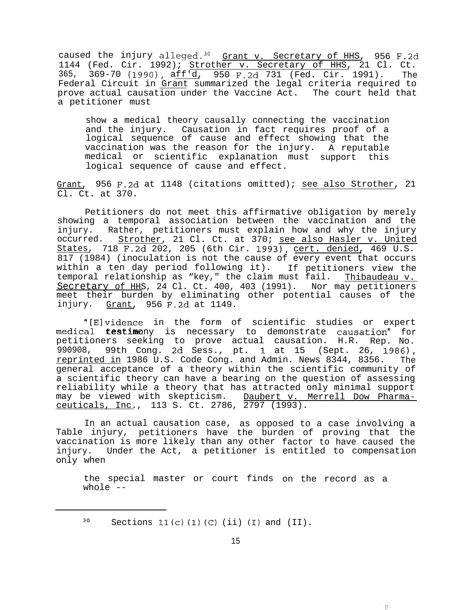caused the injury alleged.<sup>30</sup> Grant v. Secretary of HHS, 956 F.2d 1144 (Fed. Cir. 1992); Strother v. Secretary of HHS, 21 Cl. Ct. 365, 369-70 (1990), aff'd, 950 F.2d 731 (Fed. Cir. 1991). The Federal Circuit in Grant summarized the legal criteria required to prove actual causation under the Vaccine Act. The court held that a petitioner must

show a medical theory causally connecting the vaccination and the injury. Causation in fact requires proof of a logical sequence of cause and effect showing that the vaccination was the reason for the injury. A reputable medical or scientific explanation must support this logical sequence of cause and effect.

Grant, 956 F.2d at 1148 (citations omitted); see also Strother, 21 Cl. Ct. at 370.

Petitioners do not meet this affirmative obligation by merely showing a temporal association between the vaccination and the injury. Rather, petitioners must explain how and why the injury occurred. Strother, 21 Cl. Ct. at 370; see also Hasler v. United States, 718 F.2d 202, 205 (6th Cir. 1993), cert. denied, 469 U.S. 817 (1984) (inoculation is not the cause of every event that occurs within a ten day period following it). If petitioners view the temporal relationship as "key," the claim must fail. Thibaudeau v. Secretary of HHS, 24 Cl. Ct. 400, 403 (1991). Nor may petitioners meet their burden by eliminating other potential causes of the injury. Grant, 956 F.2d at 1149.

"[E]vidence in the form of scientific studies or expert medical testimony is necessary to demonstrate causation" for petitioners seeking to prove actual causation. H.R. Rep. No. 990908, 99th Cong. 2d Sess., pt. 1 at 15 (Sept. 26, 1986), reprinted in 1986 U.S. Code Cong. and Admin. News 8344, 8356. The general acceptance of a theory within the scientific community of a scientific theory can have a bearing on the question of assessing reliability while a theory that has attracted only minimal support may be viewed with skepticism. Daubert v. Merrell Dow Pharmaceuticals, Inc., 113 S. Ct. 2786, 2797 (1993).

In an actual causation case, as opposed to a case involving a Table injury, petitioners have the burden of proving that the vaccination is more likely than any other factor to have caused the injury. Under the Act, a petitioner is entitled to compensation only when

the special master or court finds on the record as a whole --

一把

 $30$  Sections 11(c) (1) (C) (ii) (I) and (II).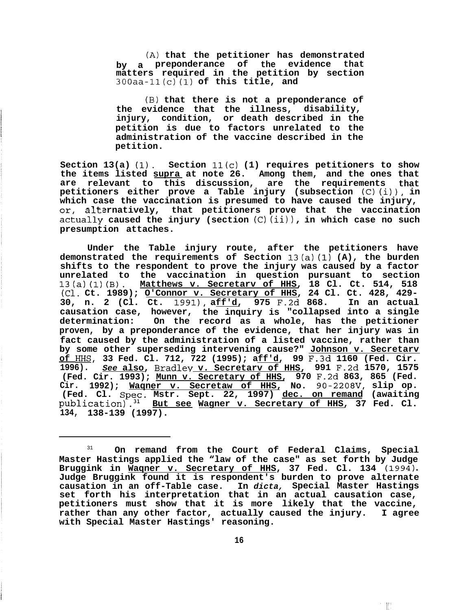**(A) that the petitioner has demonstrated by a preponderance of the evidence that matters required in the petition by section 300aa-11(c) (1) of this title, and**

**(B) that there is not a preponderance of the evidence that the illness, disability, injury, condition, or death described in the petition is due to factors unrelated to the administration of the vaccine described in the petition.**

**Section 13(a) (1). Section 11(c) (1) requires petitioners to show the items listed supra at note 26. Among them, and the ones that are relevant to this discussion, are the requirements that petitioners either prove a Table injury (subsection (C) (i)), in which case the vaccination is presumed to have caused the injury, alternatively, that petitioners prove that the vaccination %ual\_l\_y caused the injury (section (C) (ii))** , **in which case no such presumption attaches.**

**Under the Table injury route, after the petitioners have demonstrated the requirements of Section 13(a) (1) (A), the burden shifts to the respondent to prove the injury was caused by a factor unrelated to the vaccination in question pursuant to section 13(a) (1) (B). Matthews v. Secretarv of HHS, 18 Cl. Ct. 514, 518 (Cl. Ct. 1989); O'Connor v. Secretary of HHS, 24 Cl. Ct. 428, 429- 30, n. 2 (Cl. Ct. 19911, aff'd, 975 F.2d 868. In an actual causation case, however, the inquiry is "collapsed into a single determination: On the record as a whole, has the petitioner proven, by a preponderance of the evidence, that her injury was in fact caused by the administration of a listed vaccine, rather than by some other superseding intervening cause?" Johnson v. Secretarv of HHS, 33 Fed. Cl. 712, 722 (1995); aff'd, 99 F.3d 1160 (Fed. Cir. 1996).** *See* **also, Bradlev v. Secretarv of HHS, 991 F.2d 1570, 1575 (Fed. Cir. 1993); Munn v. Secretary of HHS, 970 F.2d 863, 865 (Fed. Cir. 1992); Waqner v. Secretaw of HHS, No. 90-2208V, slip op. (Fed. Cl. Spec. Mstr. Sept. 22, 1997) dec. on remand (awaiting publication).31 But see Wagner v. Secretary of HHS, 37 Fed. Cl. 134, 138-139 (1997).**

 $\parallel$ 

<sup>31</sup> **On remand from the Court of Federal Claims, Special Master Hastings applied the "law of the case" as set forth by Judge** Bruggink in Waqner v. Secretary of HHS, 37 Fed. Cl. 134 (1994). **Judge Bruggink found it is respondent's burden to prove alternate causation in an off-Table case. In** *dicta,* **Special Master Hastings set forth his interpretation that in an actual causation case, petitioners must show that it is more likely that the vaccine, rather than any other factor, actually caused the injury. I agree with Special Master Hastings' reasoning.**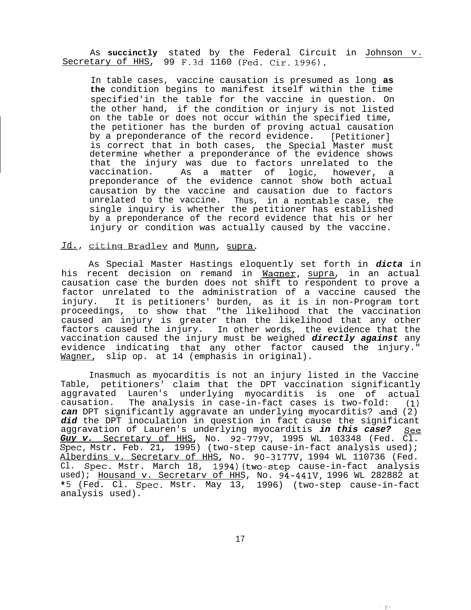As **succinctly** stated by the Federal Circuit in Johnson v. Secretary of HHS, 99 F.3d 1160 (Fed. Cir. 1996),

In table cases, vaccine causation is presumed as long **as the** condition begins to manifest itself within the time specified'in the table for the vaccine in question. On the other hand, if the condition or injury is not listed on the table or does not occur within the specified time, the petitioner has the burden of proving actual causation by a preponderance of the record evidence. [Petitioner] is correct that in both cases, the Special Master must determine whether a preponderance of the evidence shows that the injury was due to factors unrelated to the<br>vaccination. As a matter of logic, however, a As a matter of logic, however, a preponderance of the evidence cannot show both actual causation by the vaccine and causation due to factors unrelated to the vaccine. Thus, in a nontable case, the single inquiry is whether the petitioner has established by a preponderance of the record evidence that his or her injury or condition was actually caused by the vaccine.

# **A,**Id **citinq** Bradlev and Munn, supra.

As Special Master Hastings eloquently set forth in *dicta* in his recent decision on remand in Waqner, supra, in an actual causation case the burden does not shift to respondent to prove a factor unrelated to the administration of a vaccine caused the injury. It is petitioners' burden, as it is in non-Program tort proceedings, to show that "the likelihood that the vaccination caused an injury is greater than the likelihood that any other factors caused the injury. In other words, the evidence that the vaccination caused the injury must be weighed *directly against* any evidence indicating that any other factor caused the injury." Wagner, slip op. at 14 (emphasis in original).

Inasmuch as myocarditis is not an injury listed in the Vaccine Table, petitioners' claim that the DPT vaccination significantly aggravated Lauren's underlying myocarditis is one of actual<br>causation. The analysis in case-in-fact cases is two-fold: (1) The analysis in case-in-fact cases is two-fold: can DPT significantly aggravate an underlying myocarditis? and (2) *did* the DPT inoculation in question in fact cause the significant aggravation of Lauren's underlying myocarditis *in this case? See Guy v.* Secretary of HHS, No. 92-779v, 1995 WL 103348 (Fed. Cl. Spec, Mstr. Feb. 21, 1995) (two-step cause-in-fact analysis used); Alberdins v. Secretarv of HHS, No. 90-3177V, 1994 WL 110736 (Fed. Cl. Spec. Mstr. March 18, 1994)(two-step cause-in-fact analysis used); Housand v. Secretary of HHS, No. 94-441V, 1996 WL 282882 at \*5 (Fed. Cl. Spec. Mstr. May 13, 1996) (two-step cause-in-fact analysis used).

- tri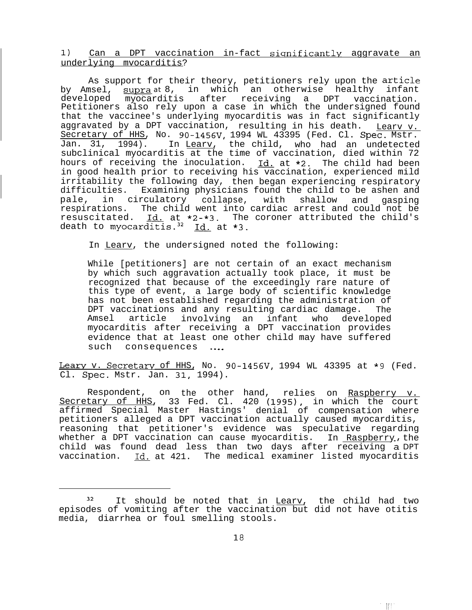1) Can a DPT vaccination in-fact significantlv aggravate an underlying mvocarditis?

As support for their theory, petitioners rely upon the article by Amsel, <u>supra</u>at8, in which an otherwise healthy infant developed myocarditis after receiving a DPT vaccination. Petitioners also rely upon a case in which the undersigned found that the vaccinee's underlying myocarditis was in fact significantly aggravated by a DPT vaccination, resulting in his death. In Learv v. Secretary of HHS, No. 90-1456V, 1994 WL 43395 (Fed. Cl. Spec. Mstr. Jan. 31, 1994). In Learv, the child, who had an undetected subclinical myocarditis at the time of vaccination, died within 72 hours of receiving the inoculation.  $Id.$  at  $*2$ . The child had been in good health prior to receiving his vaccination, experienced mild irritability the following day, then began experiencing respiratory difficulties. Examining physicians found the child to be ashen and pale, in circulatory collapse, with shallow and respirations. The child went into cardiac arrest and could not be gasping resuscitated. Id. at \*2-\*3. The coroner attributed the child's death to myocarditis.<sup>32</sup> Id. at \*3.

In Learv, the undersigned noted the following:

While [petitioners] are not certain of an exact mechanism by which such aggravation actually took place, it must be recognized that because of the exceedingly rare nature of this type of event, a large body of scientific knowledge has not been established regarding the administration of DPT vaccinations and any resulting cardiac damage. The Amsel article involving an infant who developed myocarditis after receiving a DPT vaccination provides evidence that at least one other child may have suffered such consequences ...

Leary v. Secretary of HHS, No. 90-1456V, 1994 WL 43395 at \*9 (Fed. Cl. Spec. Mstr. Jan. 31, 1994).

Respondent, on the other hand, relies on Raspberry v. Secretary of HHS, 33 Fed. Cl. 420 (1995), in which the court affirmed Special Master Hastings' denial of compensation where petitioners alleged a DPT vaccination actually caused myocarditis, reasoning that petitioner's evidence was speculative regarding whether a DPT vaccination can cause myocarditis. In Raspberry, the child was found dead less than two days after receiving a DPT vaccination. Id. at 421. The medical examiner listed myocarditis

 $\begin{bmatrix} 1 & 1 \\ 1 & 1 \end{bmatrix}$ 

<sup>&</sup>lt;sup>32</sup> It should be noted that in Leary, the child had two episodes of vomiting after the vaccination but did not have otitis media, diarrhea or foul smelling stools.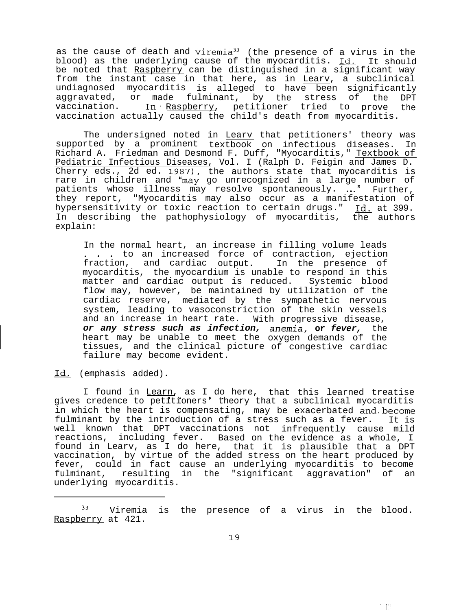as the cause of death and viremia<sup>33</sup> (the presence of a virus in the blood) as the underlying cause of the myocarditis. <u>Id.</u> It should be noted that <u>Raspberry</u> can be distinguished in a significant way from the instant case in that here, as in Learv, a subclinical undiagnosed myocarditis is alleged to have been significantly aggravated, or made fulminant, by the stress of the DPT vaccination. In Raspberry, petitioner tried to prove the vaccination actually caused the child's death from myocarditis.

The undersigned noted in Learv that petitioners' theory was supported by a prominent textbook on infectious diseases. In Richard A. Friedman and Desmond F. Duff, "Myocarditis," Textbook of Pediatric Infectious Diseases, Vol. I (Ralph D. Feigin and James D. Cherry eds., 2d ed. 1987), the authors state that myocarditis is rare in children and "may go unrecognized in a large number of patients whose illness may resolve spontaneously.  $\ldots$  Further, they report, "Myocarditis may also occur as a manifestation of hypersensitivity or toxic reaction to certain drugs." Id. at 399. In describing the pathophysiology of myocarditis, the authors explain:

In the normal heart, an increase in filling volume leads . . . to an increased force of contraction, ejection fraction, and cardiac output. In the presence of myocarditis, the myocardium is unable to respond in this matter and cardiac output is reduced. Systemic blood flow may, however, be maintained by utilization of the cardiac reserve, mediated by the sympathetic nervous system, leading to vasoconstriction of the skin vessels and an increase in heart rate. With progressive disease, *or any stress such as infection,* heart may be unable to meet the tissues, and the clinical picture of congestive cardiac failure may become evident. *anemia,* **or** *fever,* the oxygen demands of the

Id. (emphasis added).

I found in Learn, as I do here, that this learned treatise gives credence to petitioners' theory that a subclinical myocarditis in which the heart is compensating, may be exacerbated and become fulminant by the introduction of a stress such as a fever. It is well known that DPT vaccinations not infrequently cause mild reactions, including fever. Based on the evidence as a whole, I found in Learv, as I do here, that it is plausible that a DPT vaccination, by virtue of the added stress on the heart produced by fever, could in fact cause an underlying myocarditis to become fulminant, resulting in the "significant aggravation" of an underlying myocarditis.

 $\mathbb{R}^n$ 

<sup>&</sup>lt;sup>33</sup> Viremia is the presence of a virus in the blood. Raspberry at 421.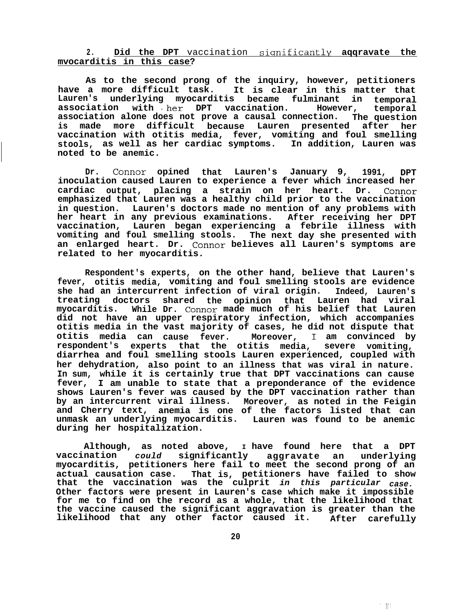**2. Did the DPT** vaccination **siqnificantly aqqravate the mvocarditis in this case?**

**As to the second prong of the inquiry, however, petitioners have a more difficult task. It is clear in this matter that Lauren's underlying myocarditis became fulminant in temporal association with .her DPT vaccination. However, association alone does not prove a causal connection. The question temporal is made more difficult because Lauren presented after her vaccination with otitis media, fever, vomiting and foul smelling stools, as well as her cardiac symptoms. In addition, Lauren was noted to be anemic.**

**Dr. Connor opined that Lauren's January 9, 1991, DPT inoculation caused Lauren to experience a fever which increased her cardiac output, placing a strain on her heart. Dr. Connor emphasized that Lauren was a healthy child prior to the vaccination in question. Lauren's doctors made no mention of any problems with her heart in any previous examinations. After receiving her DPT vaccination, Lauren began experiencing a febrile illness with vomiting and foul smelling stools. The next day she presented with an enlarged heart. Dr. Connor believes all Lauren's symptoms are related to her myocarditis.**

**Respondent's experts, on the other hand, believe that Lauren's fever, otitis media, vomiting and foul smelling stools are evidence she had an intercurrent infection of viral origin. Indeed, Lauren's treating doctors shared the opinion that Lauren had viral myocarditis. While Dr. Connor made much of his belief that Lauren did not have an upper respiratory infection, which accompanies otitis media in the vast majority of cases, he did not dispute that otitis media can cause fever. Moreover, respondent's experts that the otitis media, severe vomiting,** I **am convinced by diarrhea and foul smelling stools Lauren experienced, coupled with her dehydration, also point to an illness that was viral in nature. In sum, while it is certainly true that DPT vaccinations can cause fever, I am unable to state that a preponderance of the evidence shows Lauren's fever was caused by the DPT vaccination rather than by an intercurrent viral illness. Moreover, as noted in the Feigin and Cherry text, anemia is one of the factors listed that can unmask an underlying myocarditis. Lauren was found to be anemic during her hospitalization.**

**Although, as noted above, I have found here that a DPT vaccination** *could* **significantly aggravate an underlying myocarditis, petitioners here fail to meet the second prong of an actual causation case. That is, petitioners have failed to show that the vaccination was the culprit** *in this particular case.* **Other factors were present in Lauren's case which make it impossible for me to find on the record as a whole, that the likelihood that the vaccine caused the significant aggravation is greater than the likelihood that any other factor caused it. After carefully**

 $\begin{bmatrix} 1 & 1 \\ 1 & 1 \end{bmatrix}$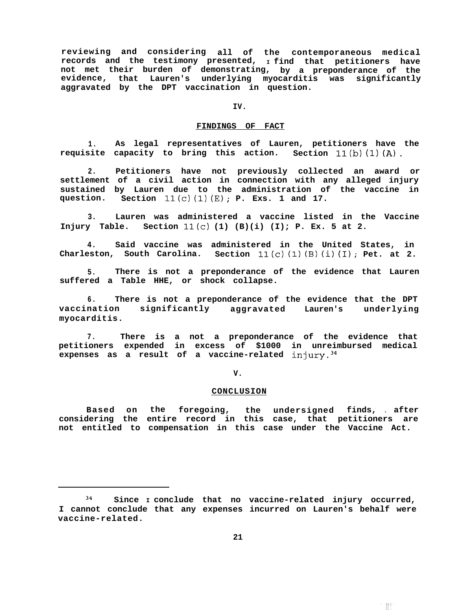**reviewing and considering all of the contemporaneous medical records and the testimony presented, <sup>I</sup>find that petitioners have not met their burden of demonstrating, by a preponderance of the evidence, that Lauren's underlying myocarditis was significantly aggravated by the DPT vaccination in question.**

**IV.**

#### **FINDINGS OF FACT**

**1. As legal representatives of Lauren, petitioners have the requisite capacity to bring this action. Section 11(b) (1) (A).**

**2. Petitioners have not previously collected an award or settlement of a civil action in connection with any alleged injury sustained by Lauren due to the administration of the vaccine in question. Section 11(c) (1) (E); P. Exs. 1 and 17.**

**3. Lauren was administered a vaccine listed in the Vaccine Injury Table. Section 11(c) (1) (B)(i) (I); P. Ex. 5 at 2.**

**4. Said vaccine was administered in the United States, in Charleston, South Carolina. Section 11(c) (1) (B) (i) (I); Pet. at 2.**

**5. There is not a preponderance of the evidence that Lauren suffered a Table HHE, or shock collapse.**

**6. There is not a preponderance of the evidence that the DPT vaccination significantly aggravated Lauren's underlying myocarditis.**

**7. There is a not a preponderance of the evidence that petitioners expended in excess of \$1000 in unreimbursed medical expenses as a result of a vaccine-related injury.34**

**V.**

#### **CONCLUSION**

**Based on the foregoing, the undersigned finds,** \ **after considering the entire record in this case, that petitioners are not entitled to compensation in this case under the Vaccine Act.**

 $^{\prime}$  -HP

<sup>34</sup> **Since I conclude that no vaccine-related injury occurred, I cannot conclude that any expenses incurred on Lauren's behalf were vaccine-related.**